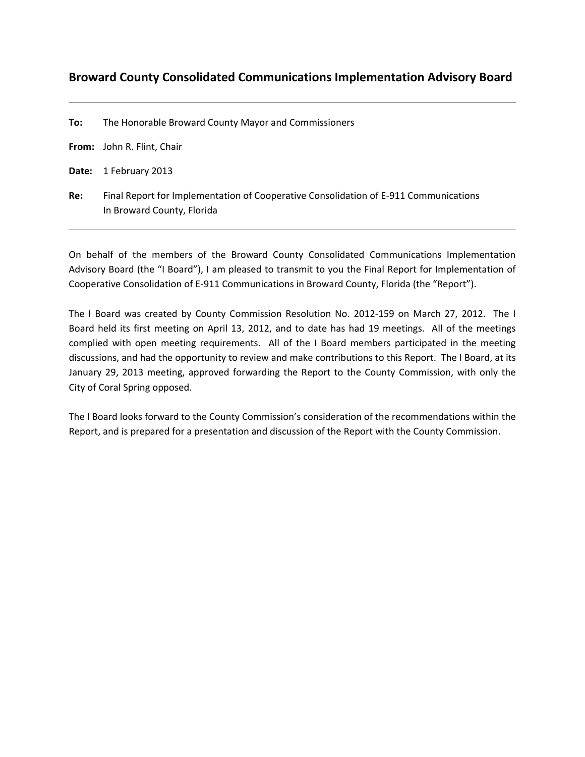## **Broward County Consolidated Communications Implementation Advisory Board**

**To:** The Honorable Broward County Mayor and Commissioners

**From:** John R. Flint, Chair

**Date:** 1 February 2013

**Re:** Final Report for Implementation of Cooperative Consolidation of E‐911 Communications In Broward County, Florida

On behalf of the members of the Broward County Consolidated Communications Implementation Advisory Board (the "I Board"), I am pleased to transmit to you the Final Report for Implementation of Cooperative Consolidation of E‐911 Communications in Broward County, Florida (the "Report").

The I Board was created by County Commission Resolution No. 2012‐159 on March 27, 2012. The I Board held its first meeting on April 13, 2012, and to date has had 19 meetings. All of the meetings complied with open meeting requirements. All of the I Board members participated in the meeting discussions, and had the opportunity to review and make contributions to this Report. The I Board, at its January 29, 2013 meeting, approved forwarding the Report to the County Commission, with only the City of Coral Spring opposed.

The I Board looks forward to the County Commission's consideration of the recommendations within the Report, and is prepared for a presentation and discussion of the Report with the County Commission.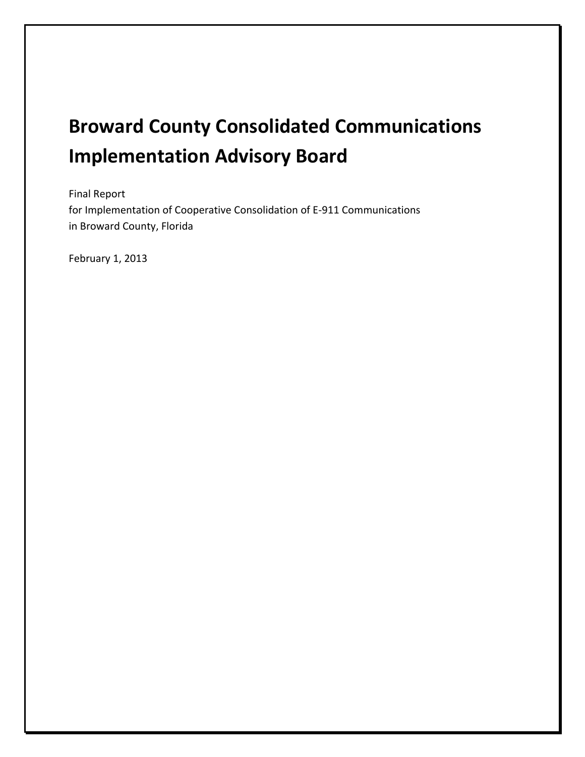# **Broward County Consolidated Communications Implementation Advisory Board**

Final Report for Implementation of Cooperative Consolidation of E‐911 Communications in Broward County, Florida

February 1, 2013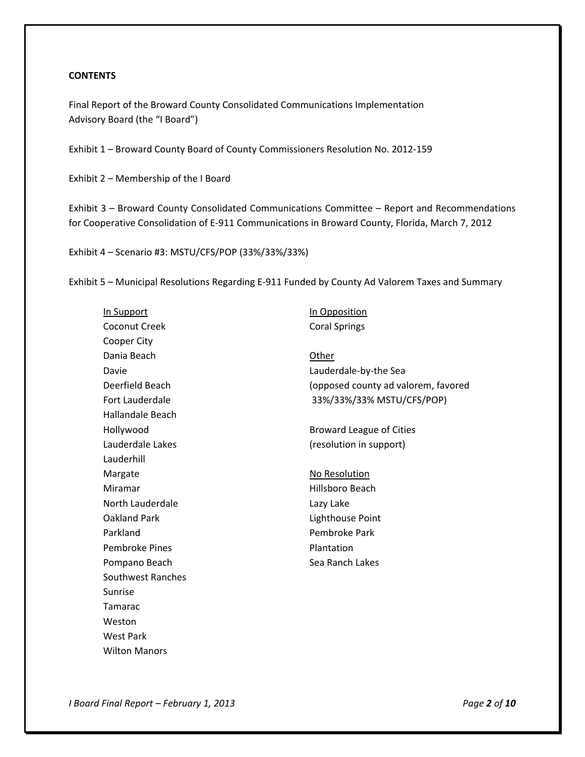#### **CONTENTS**

Final Report of the Broward County Consolidated Communications Implementation Advisory Board (the "I Board")

Exhibit 1 – Broward County Board of County Commissioners Resolution No. 2012‐159

Exhibit 2 – Membership of the I Board

Exhibit 3 – Broward County Consolidated Communications Committee – Report and Recommendations for Cooperative Consolidation of E‐911 Communications in Broward County, Florida, March 7, 2012

Exhibit 4 – Scenario #3: MSTU/CFS/POP (33%/33%/33%)

Exhibit 5 – Municipal Resolutions Regarding E‐911 Funded by County Ad Valorem Taxes and Summary

| In Support              | In Opposition                       |
|-------------------------|-------------------------------------|
| <b>Coconut Creek</b>    | <b>Coral Springs</b>                |
| Cooper City             |                                     |
| Dania Beach             | Other                               |
| Davie                   | Lauderdale-by-the Sea               |
| Deerfield Beach         | (opposed county ad valorem, favored |
| Fort Lauderdale         | 33%/33%/33% MSTU/CFS/POP)           |
| <b>Hallandale Beach</b> |                                     |
| Hollywood               | <b>Broward League of Cities</b>     |
| Lauderdale Lakes        | (resolution in support)             |
| Lauderhill              |                                     |
| Margate                 | No Resolution                       |
| Miramar                 | Hillsboro Beach                     |
| North Lauderdale        | Lazy Lake                           |
| <b>Oakland Park</b>     | Lighthouse Point                    |
| Parkland                | Pembroke Park                       |
| <b>Pembroke Pines</b>   | Plantation                          |
| Pompano Beach           | Sea Ranch Lakes                     |
| Southwest Ranches       |                                     |
| Sunrise                 |                                     |
| <b>Tamarac</b>          |                                     |
| Weston                  |                                     |
| <b>West Park</b>        |                                     |
| <b>Wilton Manors</b>    |                                     |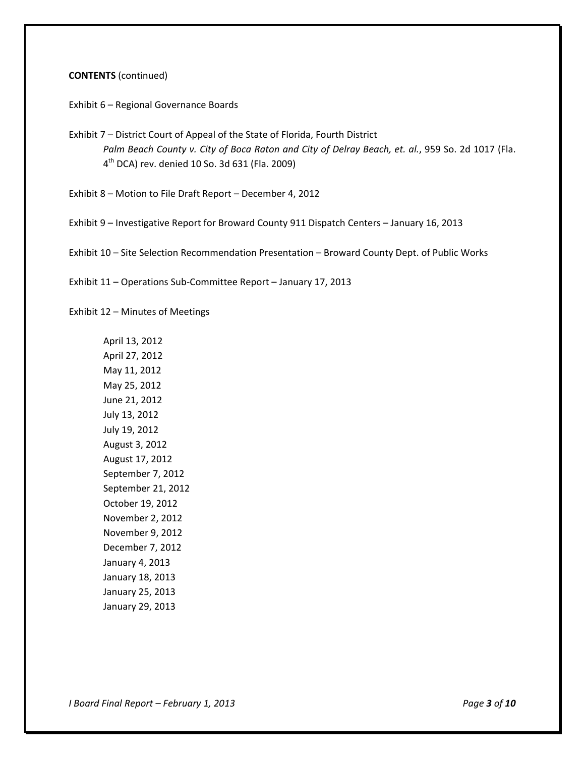#### **CONTENTS** (continued)

Exhibit 6 – Regional Governance Boards

Exhibit 7 – District Court of Appeal of the State of Florida, Fourth District *Palm Beach County v. City of Boca Raton and City of Delray Beach, et. al.*, 959 So. 2d 1017 (Fla. 4th DCA) rev. denied 10 So. 3d 631 (Fla. 2009)

Exhibit 8 – Motion to File Draft Report – December 4, 2012

Exhibit 9 – Investigative Report for Broward County 911 Dispatch Centers – January 16, 2013

Exhibit 10 – Site Selection Recommendation Presentation – Broward County Dept. of Public Works

Exhibit 11 – Operations Sub‐Committee Report – January 17, 2013

Exhibit 12 – Minutes of Meetings

April 13, 2012 April 27, 2012 May 11, 2012 May 25, 2012 June 21, 2012 July 13, 2012 July 19, 2012 August 3, 2012 August 17, 2012 September 7, 2012 September 21, 2012 October 19, 2012 November 2, 2012 November 9, 2012 December 7, 2012 January 4, 2013 January 18, 2013 January 25, 2013 January 29, 2013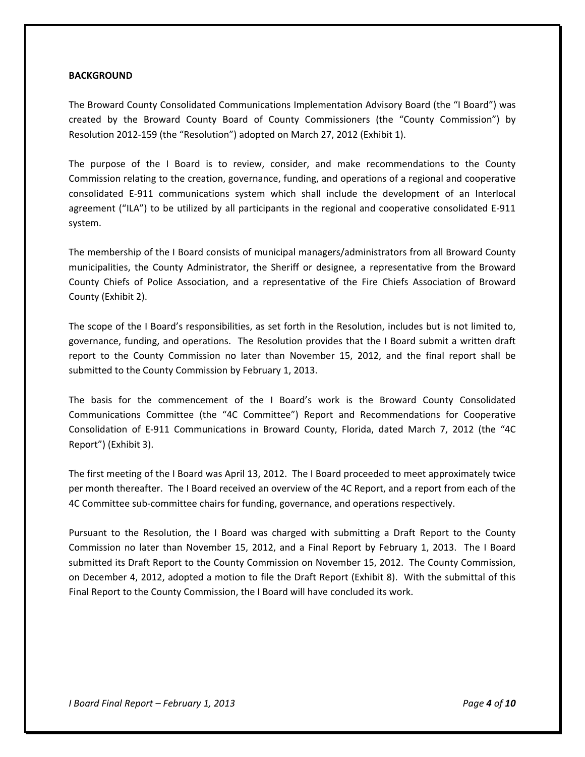#### **BACKGROUND**

The Broward County Consolidated Communications Implementation Advisory Board (the "I Board") was created by the Broward County Board of County Commissioners (the "County Commission") by Resolution 2012‐159 (the "Resolution") adopted on March 27, 2012 (Exhibit 1).

The purpose of the I Board is to review, consider, and make recommendations to the County Commission relating to the creation, governance, funding, and operations of a regional and cooperative consolidated E‐911 communications system which shall include the development of an Interlocal agreement ("ILA") to be utilized by all participants in the regional and cooperative consolidated E‐911 system.

The membership of the I Board consists of municipal managers/administrators from all Broward County municipalities, the County Administrator, the Sheriff or designee, a representative from the Broward County Chiefs of Police Association, and a representative of the Fire Chiefs Association of Broward County (Exhibit 2).

The scope of the I Board's responsibilities, as set forth in the Resolution, includes but is not limited to, governance, funding, and operations. The Resolution provides that the I Board submit a written draft report to the County Commission no later than November 15, 2012, and the final report shall be submitted to the County Commission by February 1, 2013.

The basis for the commencement of the I Board's work is the Broward County Consolidated Communications Committee (the "4C Committee") Report and Recommendations for Cooperative Consolidation of E‐911 Communications in Broward County, Florida, dated March 7, 2012 (the "4C Report") (Exhibit 3).

The first meeting of the I Board was April 13, 2012. The I Board proceeded to meet approximately twice per month thereafter. The I Board received an overview of the 4C Report, and a report from each of the 4C Committee sub‐committee chairs for funding, governance, and operations respectively.

Pursuant to the Resolution, the I Board was charged with submitting a Draft Report to the County Commission no later than November 15, 2012, and a Final Report by February 1, 2013. The I Board submitted its Draft Report to the County Commission on November 15, 2012. The County Commission, on December 4, 2012, adopted a motion to file the Draft Report (Exhibit 8). With the submittal of this Final Report to the County Commission, the I Board will have concluded its work.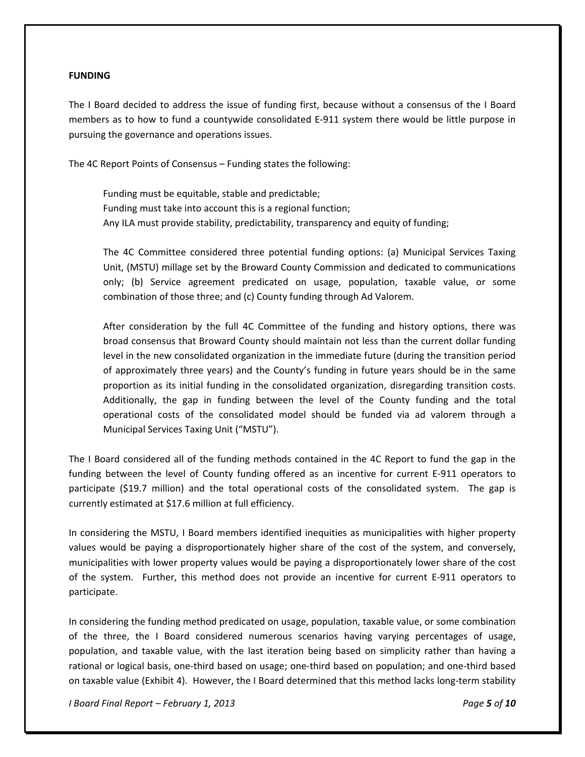#### **FUNDING**

The I Board decided to address the issue of funding first, because without a consensus of the I Board members as to how to fund a countywide consolidated E‐911 system there would be little purpose in pursuing the governance and operations issues.

The 4C Report Points of Consensus – Funding states the following:

Funding must be equitable, stable and predictable; Funding must take into account this is a regional function; Any ILA must provide stability, predictability, transparency and equity of funding;

The 4C Committee considered three potential funding options: (a) Municipal Services Taxing Unit, (MSTU) millage set by the Broward County Commission and dedicated to communications only; (b) Service agreement predicated on usage, population, taxable value, or some combination of those three; and (c) County funding through Ad Valorem.

After consideration by the full 4C Committee of the funding and history options, there was broad consensus that Broward County should maintain not less than the current dollar funding level in the new consolidated organization in the immediate future (during the transition period of approximately three years) and the County's funding in future years should be in the same proportion as its initial funding in the consolidated organization, disregarding transition costs. Additionally, the gap in funding between the level of the County funding and the total operational costs of the consolidated model should be funded via ad valorem through a Municipal Services Taxing Unit ("MSTU").

The I Board considered all of the funding methods contained in the 4C Report to fund the gap in the funding between the level of County funding offered as an incentive for current E‐911 operators to participate (\$19.7 million) and the total operational costs of the consolidated system. The gap is currently estimated at \$17.6 million at full efficiency.

In considering the MSTU, I Board members identified inequities as municipalities with higher property values would be paying a disproportionately higher share of the cost of the system, and conversely, municipalities with lower property values would be paying a disproportionately lower share of the cost of the system. Further, this method does not provide an incentive for current E-911 operators to participate.

In considering the funding method predicated on usage, population, taxable value, or some combination of the three, the I Board considered numerous scenarios having varying percentages of usage, population, and taxable value, with the last iteration being based on simplicity rather than having a rational or logical basis, one‐third based on usage; one‐third based on population; and one‐third based on taxable value (Exhibit 4). However, the I Board determined that this method lacks long‐term stability

*I Board Final Report – February 1, 2013 Page 5 of 10*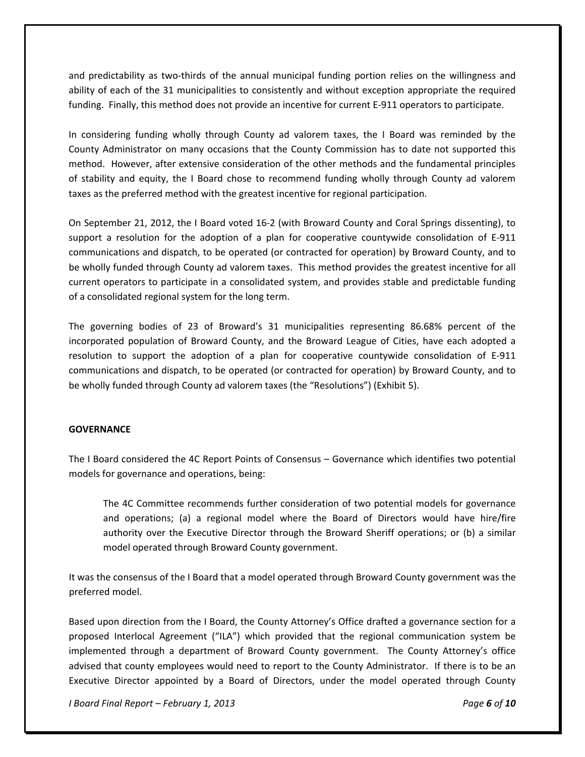and predictability as two-thirds of the annual municipal funding portion relies on the willingness and ability of each of the 31 municipalities to consistently and without exception appropriate the required funding. Finally, this method does not provide an incentive for current E‐911 operators to participate.

In considering funding wholly through County ad valorem taxes, the I Board was reminded by the County Administrator on many occasions that the County Commission has to date not supported this method. However, after extensive consideration of the other methods and the fundamental principles of stability and equity, the I Board chose to recommend funding wholly through County ad valorem taxes as the preferred method with the greatest incentive for regional participation.

On September 21, 2012, the I Board voted 16‐2 (with Broward County and Coral Springs dissenting), to support a resolution for the adoption of a plan for cooperative countywide consolidation of E-911 communications and dispatch, to be operated (or contracted for operation) by Broward County, and to be wholly funded through County ad valorem taxes. This method provides the greatest incentive for all current operators to participate in a consolidated system, and provides stable and predictable funding of a consolidated regional system for the long term.

The governing bodies of 23 of Broward's 31 municipalities representing 86.68% percent of the incorporated population of Broward County, and the Broward League of Cities, have each adopted a resolution to support the adoption of a plan for cooperative countywide consolidation of E‐911 communications and dispatch, to be operated (or contracted for operation) by Broward County, and to be wholly funded through County ad valorem taxes (the "Resolutions") (Exhibit 5).

#### **GOVERNANCE**

The I Board considered the 4C Report Points of Consensus – Governance which identifies two potential models for governance and operations, being:

The 4C Committee recommends further consideration of two potential models for governance and operations; (a) a regional model where the Board of Directors would have hire/fire authority over the Executive Director through the Broward Sheriff operations; or (b) a similar model operated through Broward County government.

It was the consensus of the I Board that a model operated through Broward County government was the preferred model.

Based upon direction from the I Board, the County Attorney's Office drafted a governance section for a proposed Interlocal Agreement ("ILA") which provided that the regional communication system be implemented through a department of Broward County government. The County Attorney's office advised that county employees would need to report to the County Administrator. If there is to be an Executive Director appointed by a Board of Directors, under the model operated through County

*I Board Final Report – February 1, 2013 Page 6 of 10*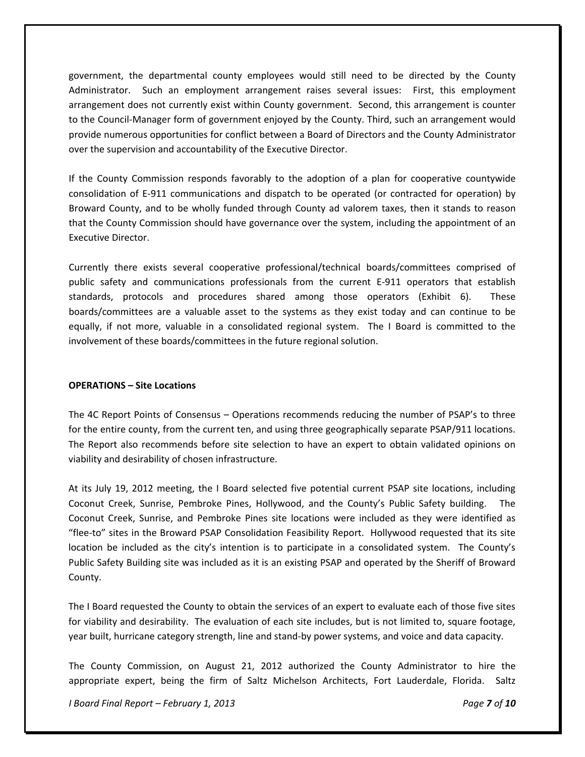government, the departmental county employees would still need to be directed by the County Administrator. Such an employment arrangement raises several issues: First, this employment arrangement does not currently exist within County government. Second, this arrangement is counter to the Council‐Manager form of government enjoyed by the County. Third, such an arrangement would provide numerous opportunities for conflict between a Board of Directors and the County Administrator over the supervision and accountability of the Executive Director.

If the County Commission responds favorably to the adoption of a plan for cooperative countywide consolidation of E‐911 communications and dispatch to be operated (or contracted for operation) by Broward County, and to be wholly funded through County ad valorem taxes, then it stands to reason that the County Commission should have governance over the system, including the appointment of an Executive Director.

Currently there exists several cooperative professional/technical boards/committees comprised of public safety and communications professionals from the current E‐911 operators that establish standards, protocols and procedures shared among those operators (Exhibit 6). These boards/committees are a valuable asset to the systems as they exist today and can continue to be equally, if not more, valuable in a consolidated regional system. The I Board is committed to the involvement of these boards/committees in the future regional solution.

#### **OPERATIONS – Site Locations**

The 4C Report Points of Consensus – Operations recommends reducing the number of PSAP's to three for the entire county, from the current ten, and using three geographically separate PSAP/911 locations. The Report also recommends before site selection to have an expert to obtain validated opinions on viability and desirability of chosen infrastructure.

At its July 19, 2012 meeting, the I Board selected five potential current PSAP site locations, including Coconut Creek, Sunrise, Pembroke Pines, Hollywood, and the County's Public Safety building. The Coconut Creek, Sunrise, and Pembroke Pines site locations were included as they were identified as "flee‐to" sites in the Broward PSAP Consolidation Feasibility Report. Hollywood requested that its site location be included as the city's intention is to participate in a consolidated system. The County's Public Safety Building site was included as it is an existing PSAP and operated by the Sheriff of Broward County.

The I Board requested the County to obtain the services of an expert to evaluate each of those five sites for viability and desirability. The evaluation of each site includes, but is not limited to, square footage, year built, hurricane category strength, line and stand‐by power systems, and voice and data capacity.

The County Commission, on August 21, 2012 authorized the County Administrator to hire the appropriate expert, being the firm of Saltz Michelson Architects, Fort Lauderdale, Florida. Saltz

*I Board Final Report – February 1, 2013 Page 7 of 10*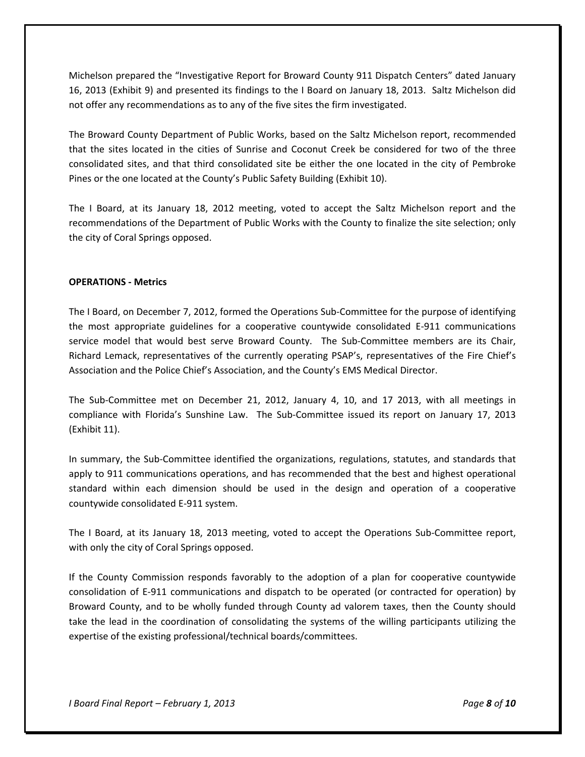Michelson prepared the "Investigative Report for Broward County 911 Dispatch Centers" dated January 16, 2013 (Exhibit 9) and presented its findings to the I Board on January 18, 2013. Saltz Michelson did not offer any recommendations as to any of the five sites the firm investigated.

The Broward County Department of Public Works, based on the Saltz Michelson report, recommended that the sites located in the cities of Sunrise and Coconut Creek be considered for two of the three consolidated sites, and that third consolidated site be either the one located in the city of Pembroke Pines or the one located at the County's Public Safety Building (Exhibit 10).

The I Board, at its January 18, 2012 meeting, voted to accept the Saltz Michelson report and the recommendations of the Department of Public Works with the County to finalize the site selection; only the city of Coral Springs opposed.

#### **OPERATIONS ‐ Metrics**

The I Board, on December 7, 2012, formed the Operations Sub‐Committee for the purpose of identifying the most appropriate guidelines for a cooperative countywide consolidated E‐911 communications service model that would best serve Broward County. The Sub-Committee members are its Chair, Richard Lemack, representatives of the currently operating PSAP's, representatives of the Fire Chief's Association and the Police Chief's Association, and the County's EMS Medical Director.

The Sub‐Committee met on December 21, 2012, January 4, 10, and 17 2013, with all meetings in compliance with Florida's Sunshine Law. The Sub-Committee issued its report on January 17, 2013 (Exhibit 11).

In summary, the Sub‐Committee identified the organizations, regulations, statutes, and standards that apply to 911 communications operations, and has recommended that the best and highest operational standard within each dimension should be used in the design and operation of a cooperative countywide consolidated E‐911 system.

The I Board, at its January 18, 2013 meeting, voted to accept the Operations Sub‐Committee report, with only the city of Coral Springs opposed.

If the County Commission responds favorably to the adoption of a plan for cooperative countywide consolidation of E‐911 communications and dispatch to be operated (or contracted for operation) by Broward County, and to be wholly funded through County ad valorem taxes, then the County should take the lead in the coordination of consolidating the systems of the willing participants utilizing the expertise of the existing professional/technical boards/committees.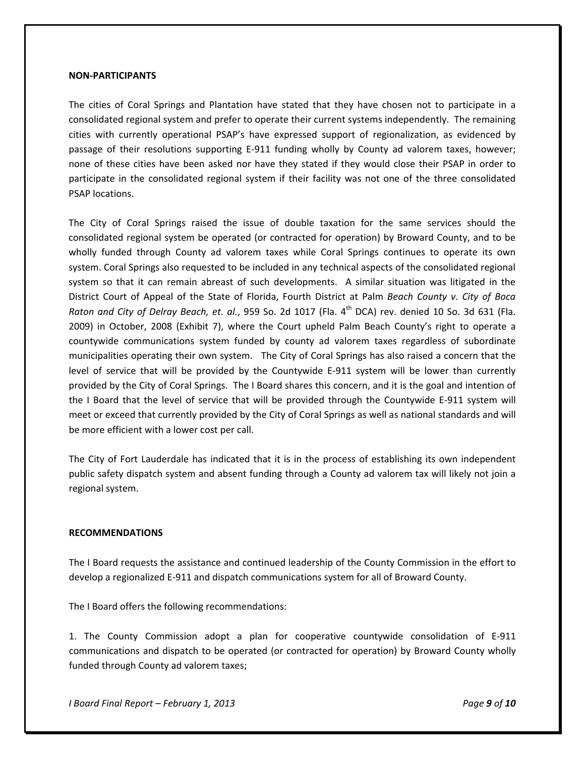#### **NON‐PARTICIPANTS**

The cities of Coral Springs and Plantation have stated that they have chosen not to participate in a consolidated regional system and prefer to operate their current systems independently. The remaining cities with currently operational PSAP's have expressed support of regionalization, as evidenced by passage of their resolutions supporting E‐911 funding wholly by County ad valorem taxes, however; none of these cities have been asked nor have they stated if they would close their PSAP in order to participate in the consolidated regional system if their facility was not one of the three consolidated PSAP locations.

The City of Coral Springs raised the issue of double taxation for the same services should the consolidated regional system be operated (or contracted for operation) by Broward County, and to be wholly funded through County ad valorem taxes while Coral Springs continues to operate its own system. Coral Springs also requested to be included in any technical aspects of the consolidated regional system so that it can remain abreast of such developments. A similar situation was litigated in the District Court of Appeal of the State of Florida, Fourth District at Palm *Beach County v. City of Boca Raton and City of Delray Beach, et. al.*, 959 So. 2d 1017 (Fla. 4th DCA) rev. denied 10 So. 3d 631 (Fla. 2009) in October, 2008 (Exhibit 7), where the Court upheld Palm Beach County's right to operate a countywide communications system funded by county ad valorem taxes regardless of subordinate municipalities operating their own system. The City of Coral Springs has also raised a concern that the level of service that will be provided by the Countywide E‐911 system will be lower than currently provided by the City of Coral Springs. The I Board shares this concern, and it is the goal and intention of the I Board that the level of service that will be provided through the Countywide E‐911 system will meet or exceed that currently provided by the City of Coral Springs as well as national standards and will be more efficient with a lower cost per call.

The City of Fort Lauderdale has indicated that it is in the process of establishing its own independent public safety dispatch system and absent funding through a County ad valorem tax will likely not join a regional system.

#### **RECOMMENDATIONS**

The I Board requests the assistance and continued leadership of the County Commission in the effort to develop a regionalized E‐911 and dispatch communications system for all of Broward County.

The I Board offers the following recommendations:

1. The County Commission adopt a plan for cooperative countywide consolidation of E‐911 communications and dispatch to be operated (or contracted for operation) by Broward County wholly funded through County ad valorem taxes;